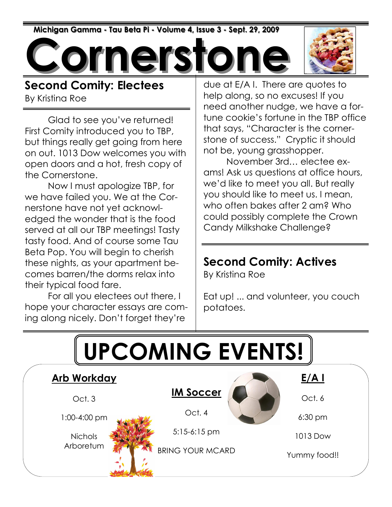Michigan Gamma - Tau Beta Pi - Volume 4, Issue 3 - Sept. 29, 2009

**Drnerst** 



Second Comity: Electees By Kristina Roe

Glad to see you've returned! First Comity introduced you to TBP, but things really get going from here on out. 1013 Dow welcomes you with open doors and a hot, fresh copy of the Cornerstone.

 Now I must apologize TBP, for we have failed you. We at the Cornerstone have not yet acknowledged the wonder that is the food served at all our TBP meetings! Tasty tasty food. And of course some Tau Beta Pop. You will begin to cherish these nights, as your apartment becomes barren/the dorms relax into their typical food fare.

 For all you electees out there, I hope your character essays are coming along nicely. Don't forget they're

due at E/A I. There are quotes to help along, so no excuses! If you need another nudge, we have a fortune cookie's fortune in the TBP office that says, "Character is the cornerstone of success." Cryptic it should not be, young grasshopper.

 November 3rd… electee exams! Ask us questions at office hours, we'd like to meet you all. But really you should like to meet us. I mean, who often bakes after 2 am? Who could possibly complete the Crown Candy Milkshake Challenge?

#### Second Comity: Actives

By Kristina Roe

Eat up! ... and volunteer, you couch potatoes.

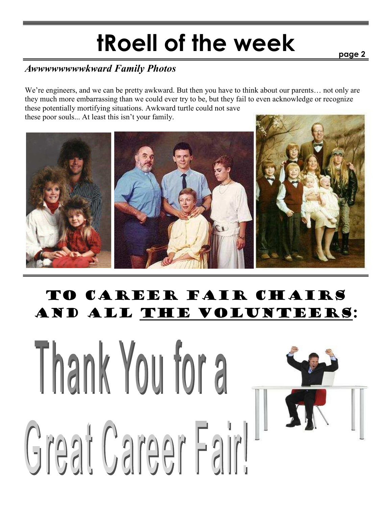# tRoell of the week

page 2

#### Awwwwwwwwkward Family Photos

We're engineers, and we can be pretty awkward. But then you have to think about our parents... not only are they much more embarrassing than we could ever try to be, but they fail to even acknowledge or recognize these potentially mortifying situations. Awkward turtle could not save these poor souls... At least this isn't your family.



## To Career Fair Chairs and all the volunteers:

# Thank You for a Great Career Fairl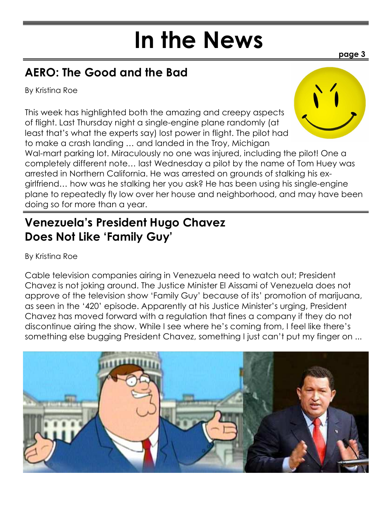# In the News

## AERO: The Good and the Bad

By Kristina Roe

This week has highlighted both the amazing and creepy aspects of flight. Last Thursday night a single-engine plane randomly (at least that's what the experts say) lost power in flight. The pilot had to make a crash landing … and landed in the Troy, Michigan



page 3

Wal-mart parking lot. Miraculously no one was injured, including the pilot! One a completely different note… last Wednesday a pilot by the name of Tom Huey was arrested in Northern California. He was arrested on grounds of stalking his exgirlfriend… how was he stalking her you ask? He has been using his single-engine plane to repeatedly fly low over her house and neighborhood, and may have been doing so for more than a year.

### Venezuela's President Hugo Chavez Does Not Like 'Family Guy'

By Kristina Roe

Cable television companies airing in Venezuela need to watch out; President Chavez is not joking around. The Justice Minister El Aissami of Venezuela does not approve of the television show 'Family Guy' because of its' promotion of marijuana, as seen in the '420' episode. Apparently at his Justice Minister's urging, President Chavez has moved forward with a regulation that fines a company if they do not discontinue airing the show. While I see where he's coming from, I feel like there's something else bugging President Chavez, something I just can't put my finger on ...

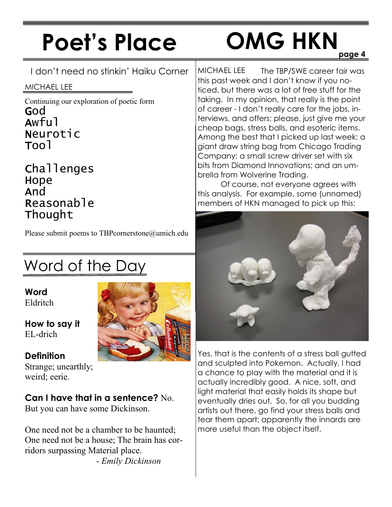# Poet's Place

## page 4 OMG HKN

I don't need no stinkin' Haiku Corner

#### MICHAEL LEE

Continuing our exploration of poetic form God Awful Neurotic Tool

**Challenges Hope** And **Reasonable** Thought

Please submit poems to TBPcornerstone@umich.edu

# Word of the Day

Word Eldritch

How to say it EL-drich

#### **Definition**

Strange; unearthly; weird; eerie.

#### Can I have that in a sentence? No.

But you can have some Dickinson.

One need not be a chamber to be haunted; One need not be a house; The brain has corridors surpassing Material place. - Emily Dickinson

The TBP/SWE career fair was this past week and I don't know if you noticed, but there was a lot of free stuff for the taking. In my opinion, that really is the point of career - I don't really care for the jobs, interviews, and offers; please, just give me your cheap bags, stress balls, and esoteric items. Among the best that I picked up last week: a giant draw string bag from Chicago Trading Company; a small screw driver set with six bits from Diamond Innovations; and an umbrella from Wolverine Trading. MICHAEL LEE

 Of course, not everyone agrees with this analysis. For example, some (unnamed) members of HKN managed to pick up this:



Yes, that is the contents of a stress ball gutted and sculpted into Pokemon. Actually, I had a chance to play with the material and it is actually incredibly good. A nice, soft, and light material that easily holds its shape but eventually dries out. So, for all you budding artists out there, go find your stress balls and tear them apart; apparently the innards are more useful than the object itself.